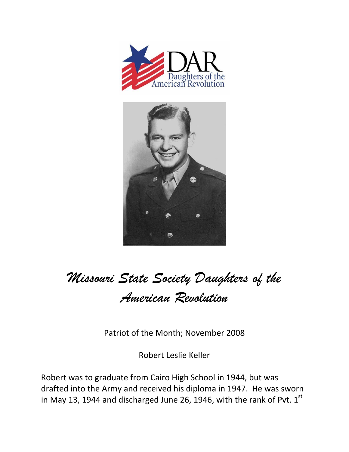



## *Missouri State Society Daughters of the American Revolution*

Patriot of the Month; November 2008

Robert Leslie Keller

Robert was to graduate from Cairo High School in 1944, but was drafted into the Army and received his diploma in 1947. He was sworn in May 13, 1944 and discharged June 26, 1946, with the rank of Pvt.  $1<sup>st</sup>$